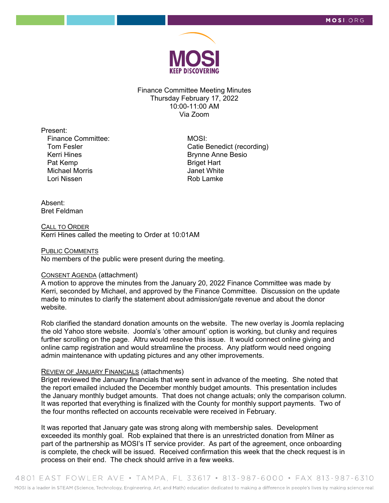

Finance Committee Meeting Minutes Thursday February 17, 2022 10:00-11:00 AM Via Zoom

Present:

Finance Committee: Tom Fesler Kerri Hines Pat Kemp Michael Morris Lori Nissen

 MOSI: Catie Benedict (recording) Brynne Anne Besio Briget Hart Janet White Rob Lamke

## Absent: Bret Feldman

CALL TO ORDER Kerri Hines called the meeting to Order at 10:01AM

## PUBLIC COMMENTS

No members of the public were present during the meeting.

# CONSENT AGENDA (attachment)

A motion to approve the minutes from the January 20, 2022 Finance Committee was made by Kerri, seconded by Michael, and approved by the Finance Committee. Discussion on the update made to minutes to clarify the statement about admission/gate revenue and about the donor website.

Rob clarified the standard donation amounts on the website. The new overlay is Joomla replacing the old Yahoo store website. Joomla's 'other amount' option is working, but clunky and requires further scrolling on the page. Altru would resolve this issue. It would connect online giving and online camp registration and would streamline the process. Any platform would need ongoing admin maintenance with updating pictures and any other improvements.

#### REVIEW OF JANUARY FINANCIALS (attachments)

Briget reviewed the January financials that were sent in advance of the meeting. She noted that the report emailed included the December monthly budget amounts. This presentation includes the January monthly budget amounts. That does not change actuals; only the comparison column. It was reported that everything is finalized with the County for monthly support payments. Two of the four months reflected on accounts receivable were received in February.

It was reported that January gate was strong along with membership sales. Development exceeded its monthly goal. Rob explained that there is an unrestricted donation from Milner as part of the partnership as MOSI's IT service provider. As part of the agreement, once onboarding is complete, the check will be issued. Received confirmation this week that the check request is in process on their end. The check should arrive in a few weeks.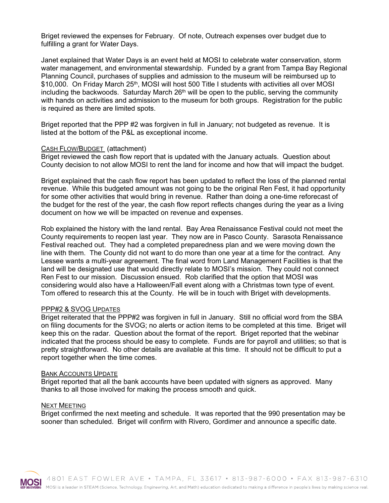Briget reviewed the expenses for February. Of note, Outreach expenses over budget due to fulfilling a grant for Water Days.

Janet explained that Water Days is an event held at MOSI to celebrate water conservation, storm water management, and environmental stewardship. Funded by a grant from Tampa Bay Regional Planning Council, purchases of supplies and admission to the museum will be reimbursed up to \$10,000. On Friday March 25<sup>th</sup>, MOSI will host 500 Title I students with activities all over MOSI including the backwoods. Saturday March  $26<sup>th</sup>$  will be open to the public, serving the community with hands on activities and admission to the museum for both groups. Registration for the public is required as there are limited spots.

Briget reported that the PPP #2 was forgiven in full in January; not budgeted as revenue. It is listed at the bottom of the P&L as exceptional income.

# CASH FLOW/BUDGET (attachment)

Briget reviewed the cash flow report that is updated with the January actuals. Question about County decision to not allow MOSI to rent the land for income and how that will impact the budget.

Briget explained that the cash flow report has been updated to reflect the loss of the planned rental revenue. While this budgeted amount was not going to be the original Ren Fest, it had opportunity for some other activities that would bring in revenue. Rather than doing a one-time reforecast of the budget for the rest of the year, the cash flow report reflects changes during the year as a living document on how we will be impacted on revenue and expenses.

Rob explained the history with the land rental. Bay Area Renaissance Festival could not meet the County requirements to reopen last year. They now are in Pasco County. Sarasota Renaissance Festival reached out. They had a completed preparedness plan and we were moving down the line with them. The County did not want to do more than one year at a time for the contract. Any Lessee wants a multi-year agreement. The final word from Land Management Facilities is that the land will be designated use that would directly relate to MOSI's mission. They could not connect Ren Fest to our mission. Discussion ensued. Rob clarified that the option that MOSI was considering would also have a Halloween/Fall event along with a Christmas town type of event. Tom offered to research this at the County. He will be in touch with Briget with developments.

# PPP#2 & SVOG UPDATES

Briget reiterated that the PPP#2 was forgiven in full in January. Still no official word from the SBA on filing documents for the SVOG; no alerts or action items to be completed at this time. Briget will keep this on the radar. Question about the format of the report. Briget reported that the webinar indicated that the process should be easy to complete. Funds are for payroll and utilities; so that is pretty straightforward. No other details are available at this time. It should not be difficult to put a report together when the time comes.

#### BANK ACCOUNTS UPDATE

Briget reported that all the bank accounts have been updated with signers as approved. Many thanks to all those involved for making the process smooth and quick.

#### NEXT MEETING

Briget confirmed the next meeting and schedule. It was reported that the 990 presentation may be sooner than scheduled. Briget will confirm with Rivero, Gordimer and announce a specific date.